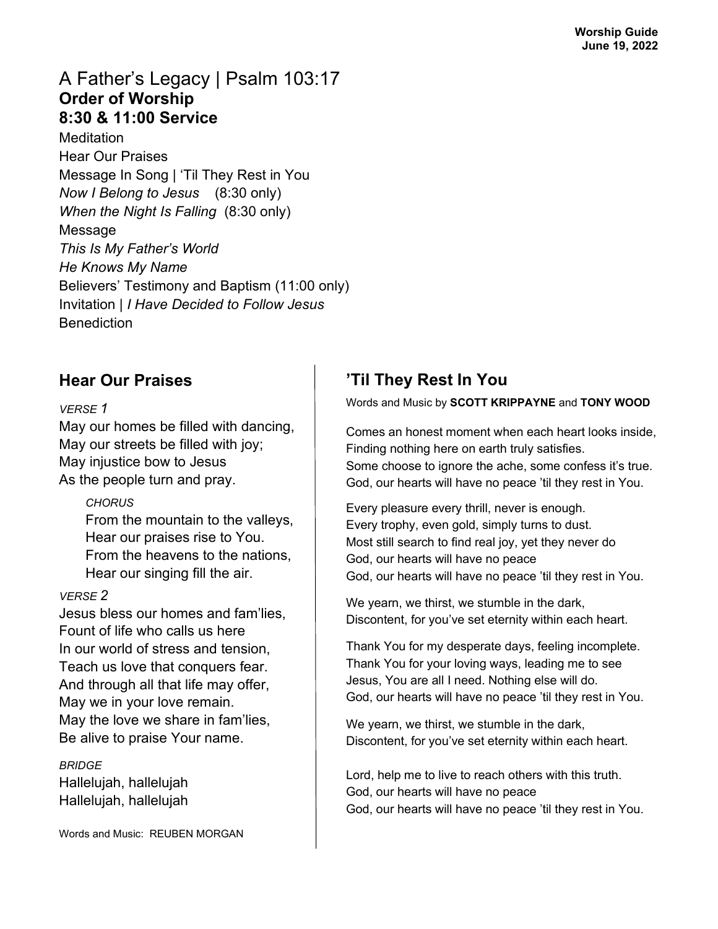# A Father's Legacy | Psalm 103:17 **Order of Worship 8:30 & 11:00 Service**

**Meditation** Hear Our Praises Message In Song | 'Til They Rest in You *Now I Belong to Jesus* (8:30 only) *When the Night Is Falling* (8:30 only) Message *This Is My Father's World He Knows My Name* Believers' Testimony and Baptism (11:00 only) Invitation | *I Have Decided to Follow Jesus* Benediction

## **Hear Our Praises**

#### *VERSE 1*

May our homes be filled with dancing, May our streets be filled with joy; May injustice bow to Jesus As the people turn and pray.

### *CHORUS*

From the mountain to the valleys, Hear our praises rise to You. From the heavens to the nations, Hear our singing fill the air.

### *VERSE 2*

Jesus bless our homes and fam'lies, Fount of life who calls us here In our world of stress and tension, Teach us love that conquers fear. And through all that life may offer, May we in your love remain. May the love we share in fam'lies, Be alive to praise Your name.

#### *BRIDGE*

Hallelujah, hallelujah Hallelujah, hallelujah

## **'Til They Rest In You**

#### Words and Music by **SCOTT KRIPPAYNE** and **TONY WOOD**

Comes an honest moment when each heart looks inside, Finding nothing here on earth truly satisfies. Some choose to ignore the ache, some confess it's true. God, our hearts will have no peace 'til they rest in You.

Every pleasure every thrill, never is enough. Every trophy, even gold, simply turns to dust. Most still search to find real joy, yet they never do God, our hearts will have no peace God, our hearts will have no peace 'til they rest in You.

We yearn, we thirst, we stumble in the dark, Discontent, for you've set eternity within each heart.

Thank You for my desperate days, feeling incomplete. Thank You for your loving ways, leading me to see Jesus, You are all I need. Nothing else will do. God, our hearts will have no peace 'til they rest in You.

We yearn, we thirst, we stumble in the dark, Discontent, for you've set eternity within each heart.

Lord, help me to live to reach others with this truth. God, our hearts will have no peace God, our hearts will have no peace 'til they rest in You.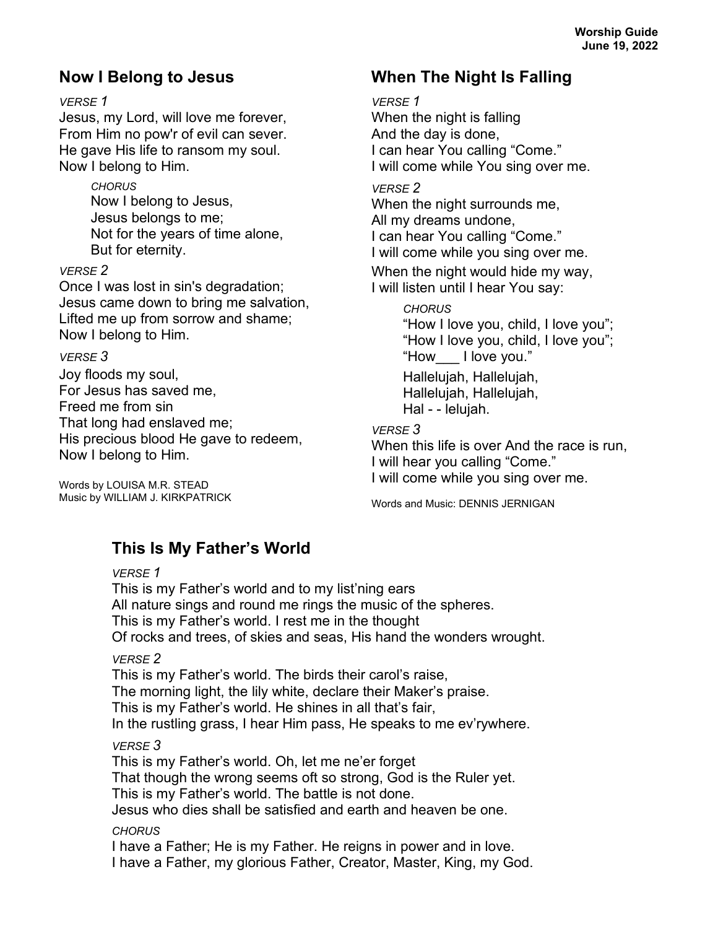## **Now I Belong to Jesus**

### *VERSE 1*

Jesus, my Lord, will love me forever, From Him no pow'r of evil can sever. He gave His life to ransom my soul. Now I belong to Him.

> *CHORUS* Now I belong to Jesus, Jesus belongs to me; Not for the years of time alone, But for eternity.

## *VERSE 2*

Once I was lost in sin's degradation; Jesus came down to bring me salvation, Lifted me up from sorrow and shame; Now I belong to Him.

### *VERSE 3*

Joy floods my soul, For Jesus has saved me, Freed me from sin That long had enslaved me; His precious blood He gave to redeem, Now I belong to Him.

Words by LOUISA M.R. STEAD Music by WILLIAM J. KIRKPATRICK

# **When The Night Is Falling**

*VERSE 1* When the night is falling And the day is done, I can hear You calling "Come." I will come while You sing over me.

## *VERSE 2*

When the night surrounds me, All my dreams undone, I can hear You calling "Come." I will come while you sing over me. When the night would hide my way, I will listen until I hear You say:

## *CHORUS*

"How I love you, child, I love you"; "How I love you, child, I love you"; "How\_\_\_ I love you." Hallelujah, Hallelujah, Hallelujah, Hallelujah, Hal - - lelujah.

## *VERSE 3*

When this life is over And the race is run, I will hear you calling "Come." I will come while you sing over me.

Words and Music: DENNIS JERNIGAN

# **This Is My Father's World**

### *VERSE 1*

This is my Father's world and to my list'ning ears All nature sings and round me rings the music of the spheres. This is my Father's world. I rest me in the thought Of rocks and trees, of skies and seas, His hand the wonders wrought.

## *VERSE 2*

This is my Father's world. The birds their carol's raise, The morning light, the lily white, declare their Maker's praise. This is my Father's world. He shines in all that's fair, In the rustling grass, I hear Him pass, He speaks to me ev'rywhere.

## *VERSE 3*

This is my Father's world. Oh, let me ne'er forget That though the wrong seems oft so strong, God is the Ruler yet. This is my Father's world. The battle is not done.

Jesus who dies shall be satisfied and earth and heaven be one.

## *CHORUS*

I have a Father; He is my Father. He reigns in power and in love. I have a Father, my glorious Father, Creator, Master, King, my God.